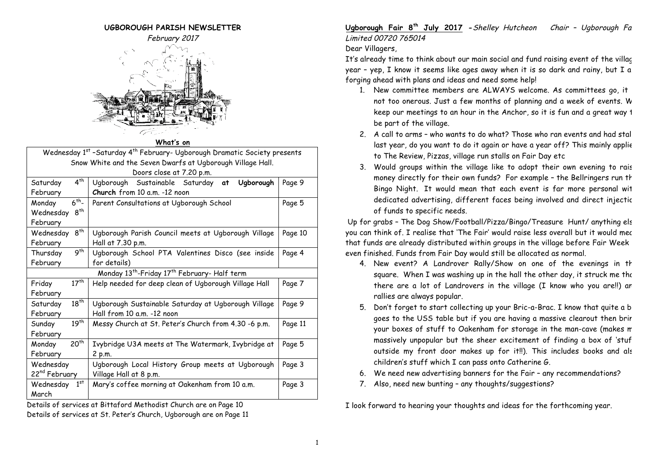

#### **What's on**

Wednesday 1<sup>st</sup> -Saturday 4<sup>th</sup> February- Ugborough Dramatic Society presents Snow White and the Seven Dwarfs at Ugborough Village Hall. Doors close at 7.20 p.m.

| $4^{th}$<br>Saturday                                                 | Ugborough Sustainable Saturday<br>Ugborough<br>at    | Page 9  |  |  |
|----------------------------------------------------------------------|------------------------------------------------------|---------|--|--|
| February                                                             | Church from 10 a.m. -12 noon                         |         |  |  |
| $6th$ -<br>Monday                                                    | Parent Consultations at Ugborough School             | Page 5  |  |  |
| 8 <sup>th</sup><br>Wednesday                                         |                                                      |         |  |  |
| February                                                             |                                                      |         |  |  |
| 8 <sup>th</sup><br>Wednesday                                         | Ugborough Parish Council meets at Ugborough Village  | Page 10 |  |  |
| February                                                             | Hall at 7.30 p.m.                                    |         |  |  |
| 9 <sup>th</sup><br>Thursday                                          | Ugborough School PTA Valentines Disco (see inside    | Page 4  |  |  |
| February                                                             | for details)                                         |         |  |  |
| Monday 13 <sup>th</sup> -Friday 17 <sup>th</sup> February- Half term |                                                      |         |  |  |
| $17^{th}$<br>Friday                                                  | Help needed for deep clean of Ugborough Village Hall | Page 7  |  |  |
| February                                                             |                                                      |         |  |  |
| $18^{th}$<br>Saturday                                                | Ugborough Sustainable Saturday at Ugborough Village  | Page 9  |  |  |
| February                                                             | Hall from 10 a.m. -12 noon                           |         |  |  |
| $19^{th}$<br>Sunday                                                  | Messy Church at St. Peter's Church from 4.30 -6 p.m. | Page 11 |  |  |
| February                                                             |                                                      |         |  |  |
| 20 <sup>th</sup><br>Monday                                           | Ivybridge U3A meets at The Watermark, Ivybridge at   | Page 5  |  |  |
| February                                                             | 2 p.m.                                               |         |  |  |
| Wednesday                                                            | Ugborough Local History Group meets at Ugborough     | Page 3  |  |  |
| 22 <sup>nd</sup> February                                            | Village Hall at 8 p.m.                               |         |  |  |
| 1 <sup>st</sup><br>Wednesday                                         | Mary's coffee morning at Oakenham from 10 a.m.       | Page 3  |  |  |
| March                                                                |                                                      |         |  |  |

Details of services at Bittaford Methodist Church are on Page 10 Details of services at St. Peter's Church, Ugborough are on Page 11 **Ugborough Fair 8th July 2017 -**Shelley Hutcheon Chair – Ugborough Fair Limited 00720 765014

#### Dear Villagers,

It's already time to think about our main social and fund raising event of the village year – yep, I know it seems like ages away when it is so dark and rainy, but I am forging ahead with plans and ideas and need some help!

- 1. New committee members are ALWAYS welcome. As committees go, it not too onerous. Just a few months of planning and a week of events. W keep our meetings to an hour in the Anchor, so it is fun and a great way 1 be part of the village.
- 2. A call to arms who wants to do what? Those who ran events and had stall last year, do you want to do it again or have a year off? This mainly applie to The Review, Pizzas, village run stalls on Fair Day etc
- 3. Would groups within the village like to adopt their own evening to rais money directly for their own funds? For example - the Bellringers run th Bingo Night. It would mean that each event is far more personal with dedicated advertising, different faces being involved and direct injectic of funds to specific needs.

Up for grabs - The Dog Show/Football/Pizza/Bingo/Treasure Hunt/ anything else you can think of. I realise that 'The Fair' would raise less overall but it would mec that funds are already distributed within groups in the village before Fair Week even finished. Funds from Fair Day would still be allocated as normal.

- 4. New event? A Landrover Rally/Show on one of the evenings in th square. When I was washing up in the hall the other day, it struck me the there are a lot of Landrovers in the village (I know who you are!!) and rallies are always popular.
- 5. Don't forget to start collecting up your Bric-a-Brac. I know that quite a b goes to the USS table but if you are having a massive clearout then brir your boxes of stuff to Oakenham for storage in the man-cave (makes m massively unpopular but the sheer excitement of finding a box of 'stuf outside my front door makes up for it!!). This includes books and als children's stuff which I can pass onto Catherine G.
- 6. We need new advertising banners for the Fair any recommendations?
- 7. Also, need new bunting any thoughts/suggestions?

I look forward to hearing your thoughts and ideas for the forthcoming year.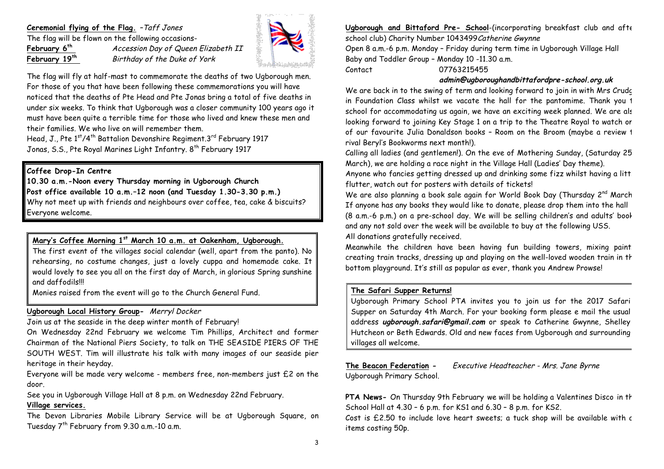# **Ceremonial flying of the Flag.** –Taff Jones

The flag will be flown on the following occasions-

**February 6th** Accession Day of Queen Elizabeth II February 19<sup>th</sup> Birthday of the Duke of York



The flag will fly at half-mast to commemorate the deaths of two Ugborough men. For those of you that have been following these commemorations you will have noticed that the deaths of Pte Head and Pte Jonas bring a total of five deaths in under six weeks. To think that Ugborough was a closer community 100 years ago it must have been quite a terrible time for those who lived and knew these men and their families. We who live on will remember them.

Head, J., Pte 1<sup>st</sup>/4<sup>th</sup> Battalion Devonshire Regiment.3<sup>rd</sup> February 1917 Jonas, S.S., Pte Royal Marines Light Infantry. 8<sup>th</sup> February 1917

# **Coffee Drop-In Centre**

**10.30 a.m.-Noon every Thursday morning in Ugborough Church Post office available 10 a.m.–12 noon (and Tuesday 1.30-3.30 p.m.)** Why not meet up with friends and neighbours over coffee, tea, cake & biscuits? Everyone welcome.

# **Mary's Coffee Morning 1st March 10 a.m. at Oakenham, Ugborough.**

The first event of the villages social calendar (well, apart from the panto). No rehearsing, no costume changes, just a lovely cuppa and homemade cake. It would lovely to see you all on the first day of March, in glorious Spring sunshine and daffodils!!!

Monies raised from the event will go to the Church General Fund.

## **Ugborough Local History Group-** Merryl Docker

Join us at the seaside in the deep winter month of February!

On Wednesday 22nd February we welcome Tim Phillips, Architect and former Chairman of the National Piers Society, to talk on THE SEASIDE PIERS OF THE SOUTH WEST. Tim will illustrate his talk with many images of our seaside pier heritage in their heyday.

Everyone will be made very welcome - members free, non-members just £2 on the door.

See you in Ugborough Village Hall at 8 p.m. on Wednesday 22nd February.

# **Village services.**

The Devon Libraries Mobile Library Service will be at Ugborough Square, on Tuesday 7<sup>th</sup> February from 9.30 a.m.-10 a.m.

**Ugborough and Bittaford Pre- School**-(incorporating breakfast club and after school club) Charity Number 1043499 Catherine Gwynne

Open 8 a.m.-6 p.m. Monday – Friday during term time in Ugborough Village Hall Baby and Toddler Group – Monday 10 -11.30 a.m.

Contact 07763215455

## **admin@ugboroughandbittafordpre-school.org.uk**

We are back in to the swing of term and looking forward to join in with Mrs Crudge in Foundation Class whilst we vacate the hall for the pantomime. Thank you 1 school for accommodating us again, we have an exciting week planned. We are als looking forward to joining Key Stage 1 on a trip to the Theatre Royal to watch or of our favourite Julia Donaldson books - Room on the Broom (maybe a review 1 rival Beryl's Bookworms next month!).

Calling all ladies (and gentlemen!). On the eve of Mothering Sunday, (Saturday 25 March), we are holding a race night in the Village Hall (Ladies' Day theme).

Anyone who fancies getting dressed up and drinking some fizz whilst having a little flutter, watch out for posters with details of tickets!

We are also planning a book sale again for World Book Day (Thursday 2<sup>nd</sup> March). If anyone has any books they would like to donate, please drop them into the hall (8 a.m.-6 p.m.) on a pre-school day. We will be selling children's and adults' books and any not sold over the week will be available to buy at the following USS. All donations gratefully received.

Meanwhile the children have been having fun building towers, mixing paint creating train tracks, dressing up and playing on the well-loved wooden train in the bottom playground. It's still as popular as ever, thank you Andrew Prowse!

# **The Safari Supper Returns!**

Ugborough Primary School PTA invites you to join us for the 2017 Safari Supper on Saturday 4th March. For your booking form please e mail the usual address **ugborough.safari@gmail.com** or speak to Catherine Gwynne, Shelley Hutcheon or Beth Edwards. Old and new faces from Ugborough and surrounding villages all welcome.

**The Beacon Federation -** Executive Headteacher - Mrs. Jane Byrne Ugborough Primary School.

**PTA News-** On Thursday 9th February we will be holding a Valentines Disco in th School Hall at 4.30 – 6 p.m. for KS1 and 6.30 – 8 p.m. for KS2.

Cost is  $£2.50$  to include love heart sweets; a tuck shop will be available with  $c$ items costing 50p.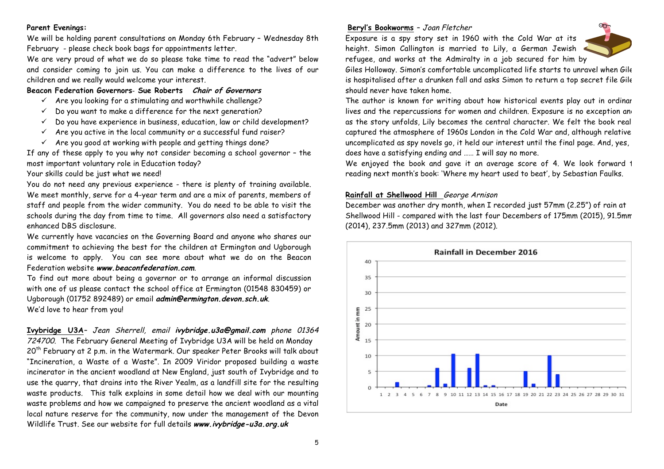## **Parent Evenings:**

We will be holding parent consultations on Monday 6th February – Wednesday 8th February - please check book bags for appointments letter.

We are very proud of what we do so please take time to read the "advert" below and consider coming to join us. You can make a difference to the lives of our children and we really would welcome your interest.

#### **Beacon Federation Governors**- **Sue Roberts Chair of Governors**

- $\checkmark$  Are you looking for a stimulating and worthwhile challenge?
- $\checkmark$  Do you want to make a difference for the next generation?
- $\checkmark$  Do you have experience in business, education, law or child development?
- $\checkmark$  Are you active in the local community or a successful fund raiser?
- $\checkmark$  Are you good at working with people and getting things done?

If any of these apply to you why not consider becoming a school governor – the most important voluntary role in Education today?

Your skills could be just what we need!

 You do not need any previous experience - there is plenty of training available. We meet monthly, serve for a 4-year term and are a mix of parents, members of staff and people from the wider community. You do need to be able to visit the schools during the day from time to time. All governors also need a satisfactory enhanced DBS disclosure.

We currently have vacancies on the Governing Board and anyone who shares our commitment to achieving the best for the children at Ermington and Ugborough is welcome to apply. You can see more about what we do on the Beacon Federation website **www.beaconfederation.com**.

To find out more about being a governor or to arrange an informal discussion with one of us please contact the school office at Ermington (01548 830459) or Ugborough (01752 892489) or email **admin@ermington.devon.sch.uk**. We'd love to hear from you!

**Ivybridge U3A**– Jean Sherrell, email **ivybridge.u3a@gmail.com** phone 01364 724700. The February General Meeting of Ivybridge U3A will be held on Monday 20<sup>th</sup> February at 2 p.m. in the Watermark. Our speaker Peter Brooks will talk about "Incineration, a Waste of a Waste". In 2009 Viridor proposed building a waste incinerator in the ancient woodland at New England, just south of Ivybridge and to use the quarry, that drains into the River Yealm, as a landfill site for the resulting waste products. This talk explains in some detail how we deal with our mounting waste problems and how we campaigned to preserve the ancient woodland as a vital local nature reserve for the community, now under the management of the Devon Wildlife Trust. See our website for full details **www.ivybridge-u3a.org.uk**

#### **Beryl's Bookworms** – Joan Fletcher

Exposure is a spy story set in 1960 with the Cold War at its height. Simon Callington is married to Lily, a German Jewish refugee, and works at the Admiralty in a job secured for him by



Giles Holloway. Simon's comfortable uncomplicated life starts to unravel when Giles is hospitalised after a drunken fall and asks Simon to return a top secret file Gile should never have taken home.

The author is known for writing about how historical events play out in ordinar lives and the repercussions for women and children. Exposure is no exception and as the story unfolds, Lily becomes the central character. We felt the book real captured the atmosphere of 1960s London in the Cold War and, although relative uncomplicated as spy novels go, it held our interest until the final page. And, yes, does have a satisfying ending and …… I will say no more.

We enjoyed the book and gave it an average score of 4. We look forward 1 reading next month's book: 'Where my heart used to beat', by Sebastian Faulks.

#### **Rainfall at Shellwood Hill** George Arnison

December was another dry month, when I recorded just 57mm (2.25") of rain at Shellwood Hill - compared with the last four Decembers of 175mm (2015), 91.5mm (2014), 237.5mm (2013) and 327mm (2012).

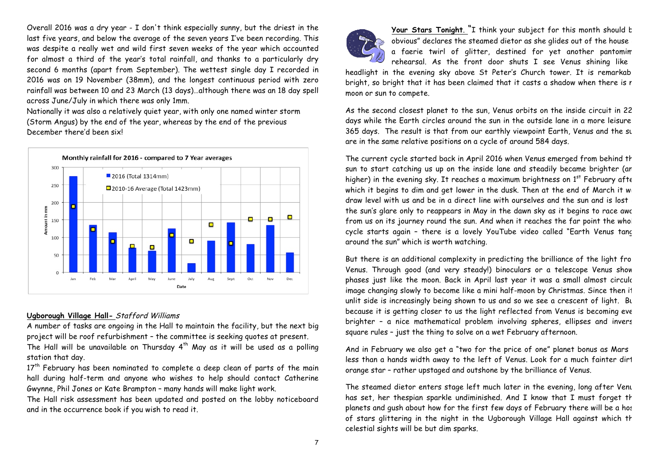Overall 2016 was a dry year - I don't think especially sunny, but the driest in the last five years, and below the average of the seven years I've been recording. This was despite a really wet and wild first seven weeks of the year which accounted for almost a third of the year's total rainfall, and thanks to a particularly dry second 6 months (apart from September). The wettest single day I recorded in 2016 was on 19 November (38mm), and the longest continuous period with zero rainfall was between 10 and 23 March (13 days)…although there was an 18 day spell across June/July in which there was only 1mm.

Nationally it was also a relatively quiet year, with only one named winter storm (Storm Angus) by the end of the year, whereas by the end of the previous December there'd been six!



## **Ugborough Village Hall-** Stafford Williams

A number of tasks are ongoing in the Hall to maintain the facility, but the next big project will be roof refurbishment – the committee is seeking quotes at present.

The Hall will be unavailable on Thursday  $4^{th}$  May as it will be used as a polling station that day.

17<sup>th</sup> February has been nominated to complete a deep clean of parts of the main hall during half-term and anyone who wishes to help should contact Catherine Gwynne, Phil Jones or Kate Brampton – many hands will make light work.

The Hall risk assessment has been updated and posted on the lobby noticeboard and in the occurrence book if you wish to read it.



Your Stars Tonight. "I think your subject for this month should b obvious" declares the steamed dietor as she glides out of the house a faerie twirl of glitter, destined for yet another pantomim rehearsal. As the front door shuts I see Venus shining like

headlight in the evening sky above St Peter's Church tower. It is remarkab bright, so bright that it has been claimed that it casts a shadow when there is r moon or sun to compete.

As the second closest planet to the sun, Venus orbits on the inside circuit in 22 days while the Earth circles around the sun in the outside lane in a more leisure 365 days. The result is that from our earthly viewpoint Earth, Venus and the sun are in the same relative positions on a cycle of around 584 days.

The current cycle started back in April 2016 when Venus emerged from behind the sun to start catching us up on the inside lane and steadily became brighter (an higher) in the evening sky. It reaches a maximum brightness on  $1<sup>st</sup>$  February after which it begins to dim and get lower in the dusk. Then at the end of March it will draw level with us and be in a direct line with ourselves and the sun and is lost the sun's glare only to reappears in May in the dawn sky as it begins to race awd from us on its journey round the sun. And when it reaches the far point the whol cycle starts again - there is a lovely YouTube video called "Earth Venus tanc around the sun" which is worth watching.

But there is an additional complexity in predicting the brilliance of the light from Venus. Through good (and very steady!) binoculars or a telescope Venus show phases just like the moon. Back in April last year it was a small almost circulc image changing slowly to become like a mini half-moon by Christmas. Since then it unlit side is increasingly being shown to us and so we see a crescent of light. Bu because it is getting closer to us the light reflected from Venus is becoming even brighter - a nice mathematical problem involving spheres, ellipses and invers square rules – just the thing to solve on a wet February afternoon.

And in February we also get a "two for the price of one" planet bonus as Mars less than a hands width away to the left of Venus. Look for a much fainter dirt orange star – rather upstaged and outshone by the brilliance of Venus.

The steamed dietor enters stage left much later in the evening, long after Venus has set, her thespian sparkle undiminished. And I know that I must forget th planets and gush about how for the first few days of February there will be a hos of stars glittering in the night in the Ugborough Village Hall against which th celestial sights will be but dim sparks.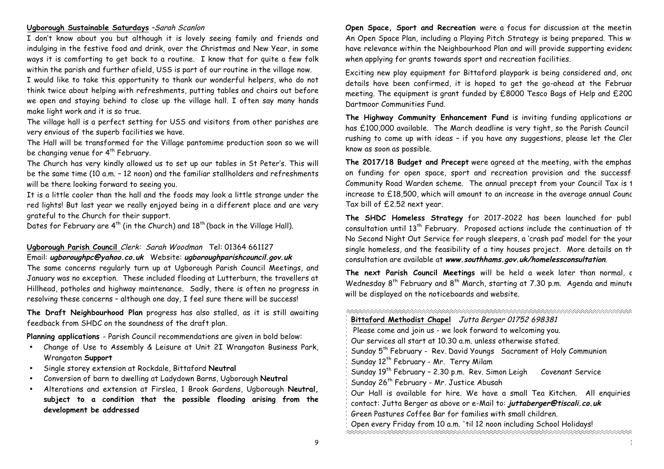#### **Ugborough Sustainable Saturdays** –Sarah Scanlon

I don't know about you but although it is lovely seeing family and friends and indulging in the festive food and drink, over the Christmas and New Year, in some ways it is comforting to get back to a routine. I know that for quite a few folk within the parish and further afield, USS is part of our routine in the village now.

I would like to take this opportunity to thank our wonderful helpers, who do not think twice about helping with refreshments, putting tables and chairs out before we open and staying behind to close up the village hall. I often say many hands make light work and it is so true.

The village hall is a perfect setting for USS and visitors from other parishes are very envious of the superb facilities we have.

The Hall will be transformed for the Village pantomime production soon so we will be changing venue for 4<sup>th</sup> February.

The Church has very kindly allowed us to set up our tables in St Peter's. This will be the same time (10 a.m. – 12 noon) and the familiar stallholders and refreshments will be there looking forward to seeing you.

It is a little cooler than the hall and the foods may look a little strange under the red lights! But last year we really enjoyed being in a different place and are very grateful to the Church for their support.

Dates for February are  $4^{th}$  (in the Church) and  $18^{th}$  (back in the Village Hall).

## **Ugborough Parish Council** Clerk: Sarah Woodman Tel: 01364 661127 Email: **ugboroughpc@yahoo.co.uk** Website: **ugboroughparishcouncil.gov.uk**

The same concerns regularly turn up at Ugborough Parish Council Meetings, and January was no exception. These included flooding at Lutterburn, the travellers at Hillhead, potholes and highway maintenance. Sadly, there is often no progress in resolving these concerns – although one day, I feel sure there will be success!

**The Draft Neighbourhood Plan** progress has also stalled, as it is still awaiting feedback from SHDC on the soundness of the draft plan.

**Planning applications** - Parish Council recommendations are given in bold below:

- Change of Use to Assembly & Leisure at Unit 2I Wrangaton Business Park, Wrangaton **Support**
- Single storey extension at Rockdale, Bittaford **Neutral**
- Conversion of barn to dwelling at Ladydown Barns, Ugborough **Neutral**
- Alterations and extension at Firslea, 1 Brook Gardens, Ugborough **Neutral, subject to a condition that the possible flooding arising from the development be addressed**

**Open Space, Sport and Recreation** were a focus for discussion at the meeting An Open Space Plan, including a Playing Pitch Strategy is being prepared. This will have relevance within the Neighbourhood Plan and will provide supporting evidenc when applying for grants towards sport and recreation facilities.

Exciting new play equipment for Bittaford playpark is being considered and, once details have been confirmed, it is hoped to get the go-ahead at the Februar meeting. The equipment is grant funded by £8000 Tesco Bags of Help and £200 Dartmoor Communities Fund.

The Highway Community Enhancement Fund is inviting funding applications an has £100,000 available. The March deadline is very tight, so the Parish Council rushing to come up with ideas – if you have any suggestions, please let the Clerk know as soon as possible.

The 2017/18 Budget and Precept were agreed at the meeting, with the emphas on funding for open space, sport and recreation provision and the successf Community Road Warden scheme. The annual precept from your Council Tax is 1 increase to  $£18,500$ , which will amount to an increase in the average annual Counc Tax bill of £2.52 next year.

The SHDC Homeless Strategy for 2017-2022 has been launched for publ consultation until  $13<sup>th</sup>$  February. Proposed actions include the continuation of th No Second Night Out Service for rough sleepers, a 'crash pad' model for the young single homeless, and the feasibility of a tiny houses project. More details on th consultation are available at **www.southhams.gov.uk/homelessconsultation**.

The next Parish Council Meetings will be held a week later than normal, c Wednesday  $8^{th}$  February and  $8^{th}$  March, starting at 7.30 p.m. Agenda and minute will be displayed on the noticeboards and website.

| Bittaford Methodist Chapel Jutta Berger 01752 698381                              |  |  |  |
|-----------------------------------------------------------------------------------|--|--|--|
| Please come and join us - we look forward to welcoming you.                       |  |  |  |
| Our services all start at 10.30 a.m. unless otherwise stated.                     |  |  |  |
| Sunday 5 <sup>th</sup> February - Rev. David Youngs Sacrament of Holy Communion   |  |  |  |
| Sunday 12 <sup>th</sup> February - Mr. Terry Milam                                |  |  |  |
| Sunday 19 <sup>th</sup> February - 2.30 p.m. Rev. Simon Leigh<br>Covenant Service |  |  |  |
| Sunday 26 <sup>th</sup> February - Mr. Justice Abusah                             |  |  |  |
| Our Hall is available for hire. We have a small Tea Kitchen. All enquiries        |  |  |  |
| contact: Jutta Berger as above or e-Mail to: juttaberger@tiscali.co.uk            |  |  |  |
| Green Pastures Coffee Bar for families with small children.                       |  |  |  |
| Open every Friday from 10 a.m. 'til 12 noon including School Holidays!            |  |  |  |
|                                                                                   |  |  |  |